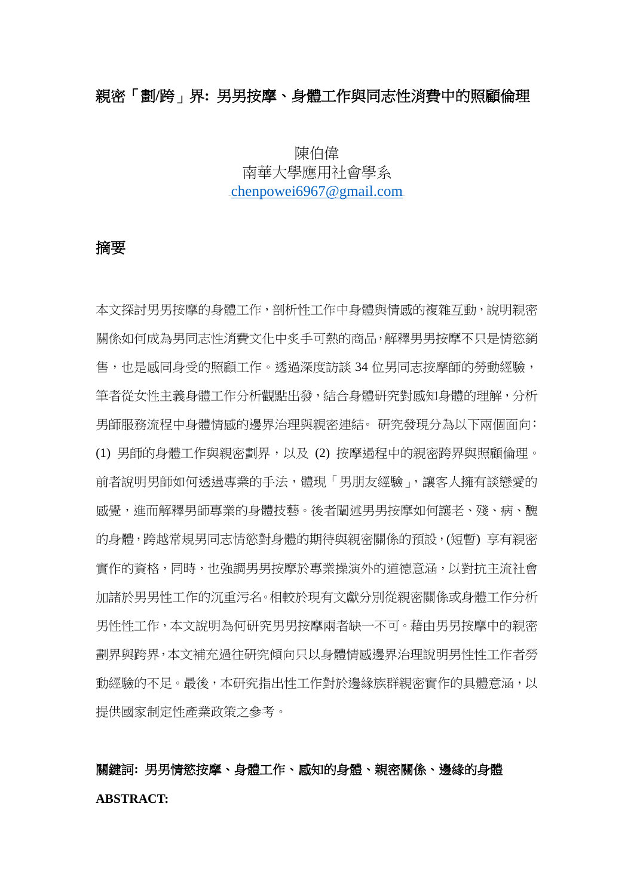## 親密「劃**/**跨」界**:** 男男按摩、身體工作與同志性消費中的照顧倫理

## 陳伯偉 南華大學應用社會學系  $2$ chenpowei6967@gmail.com

## 摘要

本文探討男男按摩的身體工作,剖析性工作中身體與情感的複雜互動,說明親密 關係如何成為男同志性消費文化中炙手可熱的商品,解釋男男按摩不只是情慾銷 售,也是感同身受的照顧工作。透過深度訪談 34 位男同志按摩師的勞動經驗, 筆者從女性主義身體工作分析觀點出發,結合身體研究對感知身體的理解,分析 男師服務流程中身體情感的邊界治理與親密連結。 研究發現分為以下兩個面向: (1) 男師的身體工作與親密劃界,以及 (2) 按摩過程中的親密跨界與照顧倫理。 前者說明男師如何透過專業的手法,體現「男朋友經驗」,讓客人擁有談戀愛的 感覺,進而解釋男師專業的身體技藝。後者闡述男男按摩如何讓老、殘、病、醜 的身體,跨越常規男同志情慾對身體的期待與親密關係的預設,(短暫) 享有親密 實作的資格,同時,也強調男男按摩於專業操演外的道德意涵,以對抗主流社會 加諸於男男性工作的沉重污名。相較於現有文獻分別從親密關係或身體工作分析 男性性工作,本文說明為何研究男男按摩兩者缺一不可。藉由男男按摩中的親密 劃界與跨界,本文補充過往研究傾向只以身體情感邊界治理說明男性性工作者勞 動經驗的不足。最後,本研究指出性工作對於邊緣族群親密實作的具體意涵,以 提供國家制定性產業政策之參考。

## 關鍵詞**:** 男男情慾按摩、身體工作、感知的身體、親密關係、邊緣的身體 **ABSTRACT:**